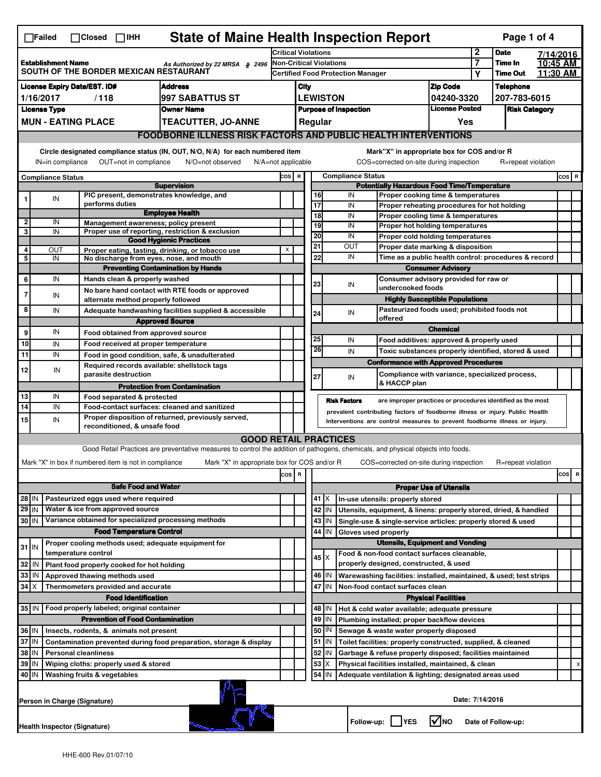| <b>State of Maine Health Inspection Report</b><br>Page 1 of 4<br>$\Box$ Failed<br>$\Box$ Closed $\Box$ IHH                    |                                                                                            |                                                                     |                                                                                                                                   |                                                                            |                                                      |                                                                                                                  |                                                                                    |                                                                              |                                                                                       |                            |                                   |                    |                      |                                |  |
|-------------------------------------------------------------------------------------------------------------------------------|--------------------------------------------------------------------------------------------|---------------------------------------------------------------------|-----------------------------------------------------------------------------------------------------------------------------------|----------------------------------------------------------------------------|------------------------------------------------------|------------------------------------------------------------------------------------------------------------------|------------------------------------------------------------------------------------|------------------------------------------------------------------------------|---------------------------------------------------------------------------------------|----------------------------|-----------------------------------|--------------------|----------------------|--------------------------------|--|
|                                                                                                                               |                                                                                            |                                                                     |                                                                                                                                   | <b>Critical Violations</b>                                                 |                                                      |                                                                                                                  |                                                                                    |                                                                              |                                                                                       | 2                          | <b>Date</b>                       |                    | 7/14/2016            |                                |  |
| <b>Establishment Name</b><br>As Authorized by 22 MRSA § 2496<br>SOUTH OF THE BORDER MEXICAN RESTAURANT                        |                                                                                            |                                                                     |                                                                                                                                   | <b>Non-Critical Violations</b><br><b>Certified Food Protection Manager</b> |                                                      |                                                                                                                  |                                                                                    |                                                                              |                                                                                       | 7<br>Υ                     | <b>Time In</b><br><b>Time Out</b> |                    | 10:45 AM<br>11:30 AM |                                |  |
| <b>Address</b><br>License Expiry Date/EST. ID#                                                                                |                                                                                            |                                                                     |                                                                                                                                   |                                                                            | City                                                 |                                                                                                                  |                                                                                    |                                                                              |                                                                                       | <b>Zip Code</b>            |                                   | <b>Telephone</b>   |                      |                                |  |
| 1/16/2017<br>/118<br>997 SABATTUS ST                                                                                          |                                                                                            |                                                                     |                                                                                                                                   | <b>LEWISTON</b>                                                            |                                                      |                                                                                                                  |                                                                                    | 04240-3320                                                                   |                                                                                       | 207-783-6015               |                                   |                    |                      |                                |  |
| <b>License Type</b><br><b>Owner Name</b>                                                                                      |                                                                                            |                                                                     |                                                                                                                                   |                                                                            | <b>Purpose of Inspection</b>                         |                                                                                                                  |                                                                                    |                                                                              | <b>License Posted</b>                                                                 |                            | <b>Risk Category</b>              |                    |                      |                                |  |
| <b>MUN - EATING PLACE</b><br><b>TEACUTTER, JO-ANNE</b>                                                                        |                                                                                            |                                                                     |                                                                                                                                   | Regular<br>Yes                                                             |                                                      |                                                                                                                  |                                                                                    |                                                                              |                                                                                       |                            |                                   |                    |                      |                                |  |
| <b>FOODBORNE ILLNESS RISK FACTORS AND PUBLIC HEALTH INTERVENTIONS</b>                                                         |                                                                                            |                                                                     |                                                                                                                                   |                                                                            |                                                      |                                                                                                                  |                                                                                    |                                                                              |                                                                                       |                            |                                   |                    |                      |                                |  |
| Circle designated compliance status (IN, OUT, N/O, N/A) for each numbered item<br>Mark"X" in appropriate box for COS and/or R |                                                                                            |                                                                     |                                                                                                                                   |                                                                            |                                                      |                                                                                                                  |                                                                                    |                                                                              |                                                                                       |                            |                                   |                    |                      |                                |  |
| OUT=not in compliance<br>IN=in compliance<br>N/O=not observed<br>$N/A = not$ applicable                                       |                                                                                            |                                                                     |                                                                                                                                   |                                                                            |                                                      |                                                                                                                  |                                                                                    |                                                                              | COS=corrected on-site during inspection                                               |                            |                                   | R=repeat violation |                      |                                |  |
| <b>Compliance Status</b>                                                                                                      |                                                                                            |                                                                     |                                                                                                                                   |                                                                            | <b>Compliance Status</b><br>COS R                    |                                                                                                                  |                                                                                    |                                                                              |                                                                                       |                            |                                   |                    |                      | COS R                          |  |
|                                                                                                                               |                                                                                            |                                                                     | <b>Supervision</b>                                                                                                                | <b>Potentially Hazardous Food Time/Temperature</b>                         |                                                      |                                                                                                                  |                                                                                    |                                                                              |                                                                                       |                            |                                   |                    |                      |                                |  |
|                                                                                                                               | IN                                                                                         | PIC present, demonstrates knowledge, and<br>performs duties         |                                                                                                                                   |                                                                            | 16<br>IN<br>Proper cooking time & temperatures<br>17 |                                                                                                                  |                                                                                    |                                                                              |                                                                                       |                            |                                   |                    |                      |                                |  |
|                                                                                                                               |                                                                                            |                                                                     | <b>Employee Health</b>                                                                                                            |                                                                            |                                                      | IN<br>Proper reheating procedures for hot holding<br>$\overline{18}$<br>IN<br>Proper cooling time & temperatures |                                                                                    |                                                                              |                                                                                       |                            |                                   |                    |                      |                                |  |
| $\overline{\mathbf{2}}$                                                                                                       | IN                                                                                         | Management awareness; policy present                                |                                                                                                                                   |                                                                            |                                                      | 19                                                                                                               |                                                                                    | IN                                                                           | Proper hot holding temperatures                                                       |                            |                                   |                    |                      |                                |  |
| 3                                                                                                                             | IN                                                                                         |                                                                     | Proper use of reporting, restriction & exclusion<br><b>Good Hygienic Practices</b>                                                |                                                                            |                                                      | 20                                                                                                               |                                                                                    | IN                                                                           | Proper cold holding temperatures                                                      |                            |                                   |                    |                      |                                |  |
| 4                                                                                                                             | OUT                                                                                        |                                                                     | Proper eating, tasting, drinking, or tobacco use                                                                                  | X                                                                          |                                                      | 21                                                                                                               |                                                                                    | OUT                                                                          | Proper date marking & disposition                                                     |                            |                                   |                    |                      |                                |  |
| $\overline{\mathbf{5}}$                                                                                                       | IN                                                                                         | No discharge from eyes, nose, and mouth                             |                                                                                                                                   |                                                                            |                                                      | 22                                                                                                               |                                                                                    |                                                                              | IN<br>Time as a public health control: procedures & record                            |                            |                                   |                    |                      |                                |  |
|                                                                                                                               | IN                                                                                         |                                                                     | <b>Preventing Contamination by Hands</b>                                                                                          |                                                                            |                                                      |                                                                                                                  |                                                                                    |                                                                              |                                                                                       | <b>Consumer Advisory</b>   |                                   |                    |                      |                                |  |
| 6                                                                                                                             |                                                                                            | Hands clean & properly washed                                       | No bare hand contact with RTE foods or approved                                                                                   |                                                                            |                                                      |                                                                                                                  | Consumer advisory provided for raw or<br>23<br>IN<br>undercooked foods             |                                                                              |                                                                                       |                            |                                   |                    |                      |                                |  |
| 7                                                                                                                             | IN                                                                                         | alternate method properly followed                                  |                                                                                                                                   |                                                                            |                                                      |                                                                                                                  |                                                                                    | <b>Highly Susceptible Populations</b>                                        |                                                                                       |                            |                                   |                    |                      |                                |  |
| 8                                                                                                                             | IN                                                                                         |                                                                     | Adequate handwashing facilities supplied & accessible                                                                             |                                                                            |                                                      | 24                                                                                                               |                                                                                    | IN                                                                           | Pasteurized foods used; prohibited foods not                                          |                            |                                   |                    |                      |                                |  |
|                                                                                                                               |                                                                                            |                                                                     | <b>Approved Source</b>                                                                                                            |                                                                            |                                                      |                                                                                                                  |                                                                                    |                                                                              | offered                                                                               |                            |                                   |                    |                      |                                |  |
| 9                                                                                                                             | IN                                                                                         | Food obtained from approved source                                  |                                                                                                                                   |                                                                            |                                                      | 25                                                                                                               |                                                                                    | IN                                                                           | Food additives: approved & properly used                                              | <b>Chemical</b>            |                                   |                    |                      |                                |  |
| 10                                                                                                                            | IN                                                                                         | Food received at proper temperature                                 |                                                                                                                                   |                                                                            |                                                      | $\overline{26}$                                                                                                  |                                                                                    | IN                                                                           | Toxic substances properly identified, stored & used                                   |                            |                                   |                    |                      |                                |  |
| 11                                                                                                                            | IN                                                                                         |                                                                     | Food in good condition, safe, & unadulterated                                                                                     |                                                                            |                                                      |                                                                                                                  |                                                                                    |                                                                              | <b>Conformance with Approved Procedures</b>                                           |                            |                                   |                    |                      |                                |  |
| 12                                                                                                                            | IN                                                                                         | Required records available: shellstock tags<br>parasite destruction |                                                                                                                                   |                                                                            |                                                      | 27                                                                                                               |                                                                                    | IN                                                                           | Compliance with variance, specialized process,                                        |                            |                                   |                    |                      |                                |  |
|                                                                                                                               |                                                                                            |                                                                     | <b>Protection from Contamination</b>                                                                                              |                                                                            |                                                      |                                                                                                                  |                                                                                    |                                                                              | & HACCP plan                                                                          |                            |                                   |                    |                      |                                |  |
| 13<br>IN<br>Food separated & protected                                                                                        |                                                                                            |                                                                     |                                                                                                                                   |                                                                            |                                                      |                                                                                                                  | <b>Risk Factors</b><br>are improper practices or procedures identified as the most |                                                                              |                                                                                       |                            |                                   |                    |                      |                                |  |
| 14<br>IN<br>Food-contact surfaces: cleaned and sanitized                                                                      |                                                                                            |                                                                     |                                                                                                                                   |                                                                            |                                                      |                                                                                                                  |                                                                                    | prevalent contributing factors of foodborne illness or injury. Public Health |                                                                                       |                            |                                   |                    |                      |                                |  |
| 15                                                                                                                            | IN                                                                                         | reconditioned, & unsafe food                                        | Proper disposition of returned, previously served,                                                                                |                                                                            |                                                      |                                                                                                                  |                                                                                    |                                                                              | Interventions are control measures to prevent foodborne illness or injury.            |                            |                                   |                    |                      |                                |  |
|                                                                                                                               |                                                                                            |                                                                     | <b>GOOD RETAIL PRACTICES</b>                                                                                                      |                                                                            |                                                      |                                                                                                                  |                                                                                    |                                                                              |                                                                                       |                            |                                   |                    |                      |                                |  |
|                                                                                                                               |                                                                                            |                                                                     | Good Retail Practices are preventative measures to control the addition of pathogens, chemicals, and physical objects into foods. |                                                                            |                                                      |                                                                                                                  |                                                                                    |                                                                              |                                                                                       |                            |                                   |                    |                      |                                |  |
|                                                                                                                               |                                                                                            | Mark "X" in box if numbered item is not in compliance               | Mark "X" in appropriate box for COS and/or R                                                                                      |                                                                            |                                                      |                                                                                                                  |                                                                                    |                                                                              | COS=corrected on-site during inspection                                               |                            |                                   | R=repeat violation |                      |                                |  |
|                                                                                                                               |                                                                                            |                                                                     |                                                                                                                                   | $cos$ R                                                                    |                                                      |                                                                                                                  |                                                                                    |                                                                              |                                                                                       |                            |                                   |                    |                      | cos<br>$\overline{\mathbf{R}}$ |  |
|                                                                                                                               |                                                                                            | <b>Safe Food and Water</b>                                          |                                                                                                                                   |                                                                            |                                                      | <b>Proper Use of Utensils</b>                                                                                    |                                                                                    |                                                                              |                                                                                       |                            |                                   |                    |                      |                                |  |
| 28 IN                                                                                                                         |                                                                                            | Pasteurized eggs used where required                                |                                                                                                                                   |                                                                            |                                                      |                                                                                                                  | 41   X                                                                             |                                                                              | In-use utensils: properly stored                                                      |                            |                                   |                    |                      |                                |  |
| $29$ IN                                                                                                                       |                                                                                            | Water & ice from approved source                                    |                                                                                                                                   |                                                                            |                                                      |                                                                                                                  | 42 IN                                                                              |                                                                              | Utensils, equipment, & linens: properly stored, dried, & handled                      |                            |                                   |                    |                      |                                |  |
| 30 IN                                                                                                                         |                                                                                            | Variance obtained for specialized processing methods                |                                                                                                                                   |                                                                            |                                                      |                                                                                                                  | $43$   IN                                                                          |                                                                              | Single-use & single-service articles: properly stored & used                          |                            |                                   |                    |                      |                                |  |
|                                                                                                                               |                                                                                            | <b>Food Temperature Control</b>                                     |                                                                                                                                   |                                                                            |                                                      | 44                                                                                                               | IN                                                                                 | Gloves used properly                                                         |                                                                                       |                            |                                   |                    |                      |                                |  |
| $31$ IN                                                                                                                       |                                                                                            | Proper cooling methods used; adequate equipment for                 |                                                                                                                                   |                                                                            |                                                      |                                                                                                                  |                                                                                    |                                                                              | <b>Utensils, Equipment and Vending</b>                                                |                            |                                   |                    |                      |                                |  |
| 32                                                                                                                            | ۱N                                                                                         | temperature control<br>Plant food properly cooked for hot holding   |                                                                                                                                   |                                                                            |                                                      |                                                                                                                  | $45 \times$                                                                        |                                                                              | Food & non-food contact surfaces cleanable,<br>properly designed, constructed, & used |                            |                                   |                    |                      |                                |  |
| 33                                                                                                                            | IN                                                                                         | Approved thawing methods used                                       |                                                                                                                                   |                                                                            |                                                      |                                                                                                                  | 46   IN                                                                            |                                                                              | Warewashing facilities: installed, maintained, & used; test strips                    |                            |                                   |                    |                      |                                |  |
| $34$ $\times$                                                                                                                 |                                                                                            | Thermometers provided and accurate                                  |                                                                                                                                   |                                                                            |                                                      |                                                                                                                  | 47 I IN                                                                            |                                                                              | Non-food contact surfaces clean                                                       |                            |                                   |                    |                      |                                |  |
|                                                                                                                               |                                                                                            | <b>Food Identification</b>                                          |                                                                                                                                   |                                                                            |                                                      |                                                                                                                  |                                                                                    |                                                                              |                                                                                       | <b>Physical Facilities</b> |                                   |                    |                      |                                |  |
| Food properly labeled; original container<br>35 IN                                                                            |                                                                                            |                                                                     |                                                                                                                                   |                                                                            |                                                      |                                                                                                                  | 48   IN                                                                            |                                                                              | Hot & cold water available; adequate pressure                                         |                            |                                   |                    |                      |                                |  |
| <b>Prevention of Food Contamination</b>                                                                                       |                                                                                            |                                                                     |                                                                                                                                   |                                                                            | 49                                                   | IN                                                                                                               |                                                                                    | Plumbing installed; proper backflow devices                                  |                                                                                       |                            |                                   |                    |                      |                                |  |
| 36 IN                                                                                                                         |                                                                                            | Insects, rodents, & animals not present                             |                                                                                                                                   |                                                                            |                                                      | 50                                                                                                               | ΙN                                                                                 |                                                                              | Sewage & waste water properly disposed                                                |                            |                                   |                    |                      |                                |  |
| 37 IN<br>Contamination prevented during food preparation, storage & display                                                   |                                                                                            |                                                                     |                                                                                                                                   |                                                                            |                                                      | 51 J IN                                                                                                          |                                                                                    | Toilet facilities: properly constructed, supplied, & cleaned                 |                                                                                       |                            |                                   |                    |                      |                                |  |
| 38 IN<br><b>Personal cleanliness</b>                                                                                          |                                                                                            |                                                                     |                                                                                                                                   |                                                                            | 52                                                   | IN                                                                                                               |                                                                                    | Garbage & refuse properly disposed; facilities maintained                    |                                                                                       |                            |                                   |                    |                      |                                |  |
| 39 IN<br>Wiping cloths: properly used & stored                                                                                |                                                                                            |                                                                     |                                                                                                                                   |                                                                            |                                                      | 53                                                                                                               | ΙX                                                                                 |                                                                              | Physical facilities installed, maintained, & clean                                    |                            |                                   |                    |                      | х                              |  |
| 54<br>40 IN<br>Washing fruits & vegetables<br>Adequate ventilation & lighting; designated areas used<br>ΙN                    |                                                                                            |                                                                     |                                                                                                                                   |                                                                            |                                                      |                                                                                                                  |                                                                                    |                                                                              |                                                                                       |                            |                                   |                    |                      |                                |  |
|                                                                                                                               |                                                                                            | Person in Charge (Signature)                                        |                                                                                                                                   |                                                                            |                                                      |                                                                                                                  |                                                                                    |                                                                              |                                                                                       |                            | Date: 7/14/2016                   |                    |                      |                                |  |
|                                                                                                                               | l√lno<br>Follow-up:  <br><b>IYES</b><br>Date of Follow-up:<br>Health Inspector (Signature) |                                                                     |                                                                                                                                   |                                                                            |                                                      |                                                                                                                  |                                                                                    |                                                                              |                                                                                       |                            |                                   |                    |                      |                                |  |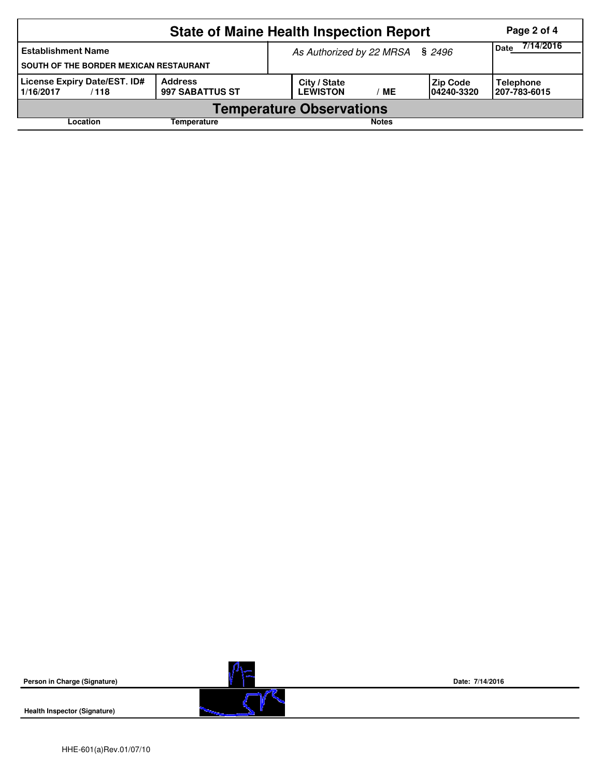|                                                                                               | Page 2 of 4 |  |                                 |                          |                                |                                  |  |  |  |
|-----------------------------------------------------------------------------------------------|-------------|--|---------------------------------|--------------------------|--------------------------------|----------------------------------|--|--|--|
| <b>Establishment Name</b><br>SOUTH OF THE BORDER MEXICAN RESTAURANT                           |             |  | As Authorized by 22 MRSA § 2496 | 7/14/2016<br><b>Date</b> |                                |                                  |  |  |  |
| <b>License Expiry Date/EST. ID#</b><br><b>Address</b><br>997 SABATTUS ST<br>1/16/2017<br>/118 |             |  | City / State<br><b>LEWISTON</b> | MЕ                       | <b>Zip Code</b><br>104240-3320 | <b>Telephone</b><br>207-783-6015 |  |  |  |
| <b>Temperature Observations</b>                                                               |             |  |                                 |                          |                                |                                  |  |  |  |
| Location<br>Temperature                                                                       |             |  |                                 | <b>Notes</b>             |                                |                                  |  |  |  |



**Health Inspector (Signature)** 



**Date: 7/14/2016**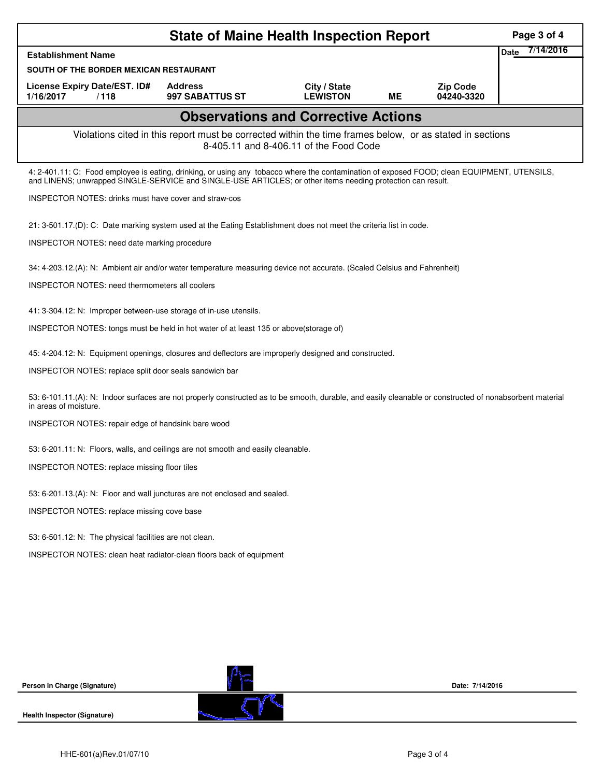| <b>State of Maine Health Inspection Report</b>                                                                                                                                                                                                             |                                                                                                                    |                                 |           |                               |                   |  |  |  |  |
|------------------------------------------------------------------------------------------------------------------------------------------------------------------------------------------------------------------------------------------------------------|--------------------------------------------------------------------------------------------------------------------|---------------------------------|-----------|-------------------------------|-------------------|--|--|--|--|
| <b>Establishment Name</b>                                                                                                                                                                                                                                  |                                                                                                                    |                                 |           |                               | 7/14/2016<br>Date |  |  |  |  |
| SOUTH OF THE BORDER MEXICAN RESTAURANT                                                                                                                                                                                                                     |                                                                                                                    |                                 |           |                               |                   |  |  |  |  |
| License Expiry Date/EST. ID#<br>1/16/2017<br>/118                                                                                                                                                                                                          | <b>Address</b><br>997 SABATTUS ST                                                                                  | City / State<br><b>LEWISTON</b> | <b>ME</b> | <b>Zip Code</b><br>04240-3320 |                   |  |  |  |  |
| <b>Observations and Corrective Actions</b>                                                                                                                                                                                                                 |                                                                                                                    |                                 |           |                               |                   |  |  |  |  |
| Violations cited in this report must be corrected within the time frames below, or as stated in sections<br>8-405.11 and 8-406.11 of the Food Code                                                                                                         |                                                                                                                    |                                 |           |                               |                   |  |  |  |  |
| 4: 2-401.11: C: Food employee is eating, drinking, or using any tobacco where the contamination of exposed FOOD; clean EQUIPMENT, UTENSILS,<br>and LINENS; unwrapped SINGLE-SERVICE and SINGLE-USE ARTICLES; or other items needing protection can result. |                                                                                                                    |                                 |           |                               |                   |  |  |  |  |
| <b>INSPECTOR NOTES: drinks must have cover and straw-cos</b>                                                                                                                                                                                               |                                                                                                                    |                                 |           |                               |                   |  |  |  |  |
|                                                                                                                                                                                                                                                            | 21: 3-501.17.(D): C: Date marking system used at the Eating Establishment does not meet the criteria list in code. |                                 |           |                               |                   |  |  |  |  |
| INSPECTOR NOTES: need date marking procedure                                                                                                                                                                                                               |                                                                                                                    |                                 |           |                               |                   |  |  |  |  |
| 34: 4-203.12.(A): N: Ambient air and/or water temperature measuring device not accurate. (Scaled Celsius and Fahrenheit)                                                                                                                                   |                                                                                                                    |                                 |           |                               |                   |  |  |  |  |
| <b>INSPECTOR NOTES: need thermometers all coolers</b>                                                                                                                                                                                                      |                                                                                                                    |                                 |           |                               |                   |  |  |  |  |
| 41: 3-304.12: N: Improper between-use storage of in-use utensils.                                                                                                                                                                                          |                                                                                                                    |                                 |           |                               |                   |  |  |  |  |
| INSPECTOR NOTES: tongs must be held in hot water of at least 135 or above(storage of)                                                                                                                                                                      |                                                                                                                    |                                 |           |                               |                   |  |  |  |  |
| 45: 4-204.12: N: Equipment openings, closures and deflectors are improperly designed and constructed.                                                                                                                                                      |                                                                                                                    |                                 |           |                               |                   |  |  |  |  |
| INSPECTOR NOTES: replace split door seals sandwich bar                                                                                                                                                                                                     |                                                                                                                    |                                 |           |                               |                   |  |  |  |  |
| 53: 6-101.11.(A): N: Indoor surfaces are not properly constructed as to be smooth, durable, and easily cleanable or constructed of nonabsorbent material<br>in areas of moisture.                                                                          |                                                                                                                    |                                 |           |                               |                   |  |  |  |  |
| INSPECTOR NOTES: repair edge of handsink bare wood                                                                                                                                                                                                         |                                                                                                                    |                                 |           |                               |                   |  |  |  |  |
| 53: 6-201.11: N: Floors, walls, and ceilings are not smooth and easily cleanable.                                                                                                                                                                          |                                                                                                                    |                                 |           |                               |                   |  |  |  |  |
| INSPECTOR NOTES: replace missing floor tiles                                                                                                                                                                                                               |                                                                                                                    |                                 |           |                               |                   |  |  |  |  |
| 53: 6-201.13.(A): N: Floor and wall junctures are not enclosed and sealed.                                                                                                                                                                                 |                                                                                                                    |                                 |           |                               |                   |  |  |  |  |
| INSPECTOR NOTES: replace missing cove base                                                                                                                                                                                                                 |                                                                                                                    |                                 |           |                               |                   |  |  |  |  |
| 53: 6-501.12: N: The physical facilities are not clean.                                                                                                                                                                                                    |                                                                                                                    |                                 |           |                               |                   |  |  |  |  |
| INSPECTOR NOTES: clean heat radiator-clean floors back of equipment                                                                                                                                                                                        |                                                                                                                    |                                 |           |                               |                   |  |  |  |  |
|                                                                                                                                                                                                                                                            |                                                                                                                    |                                 |           |                               |                   |  |  |  |  |
|                                                                                                                                                                                                                                                            |                                                                                                                    |                                 |           |                               |                   |  |  |  |  |
|                                                                                                                                                                                                                                                            |                                                                                                                    |                                 |           |                               |                   |  |  |  |  |
|                                                                                                                                                                                                                                                            |                                                                                                                    |                                 |           |                               |                   |  |  |  |  |
|                                                                                                                                                                                                                                                            |                                                                                                                    |                                 |           |                               |                   |  |  |  |  |
| Person in Charge (Signature)                                                                                                                                                                                                                               |                                                                                                                    |                                 |           | Date: 7/14/2016               |                   |  |  |  |  |
| <b>Health Inspector (Signature)</b>                                                                                                                                                                                                                        |                                                                                                                    |                                 |           |                               |                   |  |  |  |  |